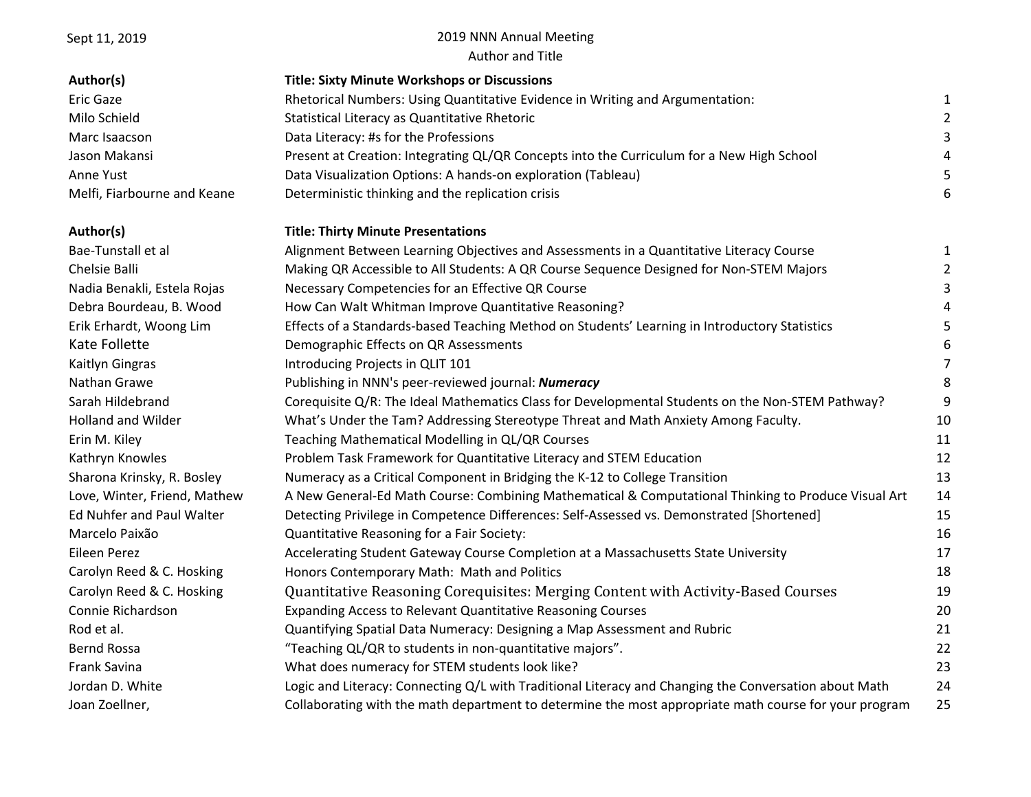## Sept 11, 2019 2019 NNN Annual Meeting Author and Title

| Author(s)                    | <b>Title: Sixty Minute Workshops or Discussions</b>                                                   |                |
|------------------------------|-------------------------------------------------------------------------------------------------------|----------------|
| <b>Eric Gaze</b>             | Rhetorical Numbers: Using Quantitative Evidence in Writing and Argumentation:                         | 1              |
| Milo Schield                 | Statistical Literacy as Quantitative Rhetoric                                                         | $\overline{a}$ |
| Marc Isaacson                | Data Literacy: #s for the Professions                                                                 | 3              |
| Jason Makansi                | Present at Creation: Integrating QL/QR Concepts into the Curriculum for a New High School             | 4              |
| Anne Yust                    | Data Visualization Options: A hands-on exploration (Tableau)                                          | 5              |
| Melfi, Fiarbourne and Keane  | Deterministic thinking and the replication crisis                                                     | 6              |
| Author(s)                    | <b>Title: Thirty Minute Presentations</b>                                                             |                |
| Bae-Tunstall et al           | Alignment Between Learning Objectives and Assessments in a Quantitative Literacy Course               | 1              |
| Chelsie Balli                | Making QR Accessible to All Students: A QR Course Sequence Designed for Non-STEM Majors               |                |
| Nadia Benakli, Estela Rojas  | Necessary Competencies for an Effective QR Course                                                     | 3              |
| Debra Bourdeau, B. Wood      | How Can Walt Whitman Improve Quantitative Reasoning?                                                  | 4              |
| Erik Erhardt, Woong Lim      | Effects of a Standards-based Teaching Method on Students' Learning in Introductory Statistics         | 5              |
| Kate Follette                | Demographic Effects on QR Assessments                                                                 | 6              |
| Kaitlyn Gingras              | Introducing Projects in QLIT 101                                                                      | 7              |
| Nathan Grawe                 | Publishing in NNN's peer-reviewed journal: Numeracy                                                   | 8              |
| Sarah Hildebrand             | Corequisite Q/R: The Ideal Mathematics Class for Developmental Students on the Non-STEM Pathway?      | 9              |
| <b>Holland and Wilder</b>    | What's Under the Tam? Addressing Stereotype Threat and Math Anxiety Among Faculty.                    | 10             |
| Erin M. Kiley                | Teaching Mathematical Modelling in QL/QR Courses                                                      | 11             |
| Kathryn Knowles              | Problem Task Framework for Quantitative Literacy and STEM Education                                   | 12             |
| Sharona Krinsky, R. Bosley   | Numeracy as a Critical Component in Bridging the K-12 to College Transition                           | 13             |
| Love, Winter, Friend, Mathew | A New General-Ed Math Course: Combining Mathematical & Computational Thinking to Produce Visual Art   | 14             |
| Ed Nuhfer and Paul Walter    | Detecting Privilege in Competence Differences: Self-Assessed vs. Demonstrated [Shortened]             | 15             |
| Marcelo Paixão               | Quantitative Reasoning for a Fair Society:                                                            | 16             |
| Eileen Perez                 | Accelerating Student Gateway Course Completion at a Massachusetts State University                    | 17             |
| Carolyn Reed & C. Hosking    | Honors Contemporary Math: Math and Politics                                                           | 18             |
| Carolyn Reed & C. Hosking    | Quantitative Reasoning Corequisites: Merging Content with Activity-Based Courses                      | 19             |
| Connie Richardson            | Expanding Access to Relevant Quantitative Reasoning Courses                                           | 20             |
| Rod et al.                   | Quantifying Spatial Data Numeracy: Designing a Map Assessment and Rubric                              | 21             |
| Bernd Rossa                  | "Teaching QL/QR to students in non-quantitative majors".                                              | 22             |
| <b>Frank Savina</b>          | What does numeracy for STEM students look like?                                                       | 23             |
| Jordan D. White              | Logic and Literacy: Connecting Q/L with Traditional Literacy and Changing the Conversation about Math | 24             |
| Joan Zoellner,               | Collaborating with the math department to determine the most appropriate math course for your program | 25             |